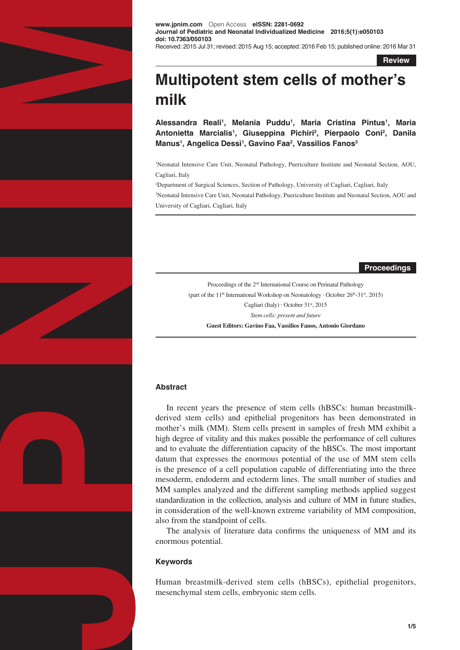

**www.jpnim.com** Open Access **eISSN: 2281-0692 Journal of Pediatric and Neonatal Individualized Medicine 2016;5(1):e050103 doi: 10.7363/050103** Received: 2015 Jul 31; revised: 2015 Aug 15; accepted: 2016 Feb 15; published online: 2016 Mar 31

**Review**

# **Multipotent stem cells of mother's milk**

**Alessandra Reali1 , Melania Puddu1 , Maria Cristina Pintus1 , Maria Antonietta Marcialis1 , Giuseppina Pichiri2 , Pierpaolo Coni2 , Danila Manus1 , Angelica Dessì1 , Gavino Faa2 , Vassilios Fanos3**

1 Neonatal Intensive Care Unit, Neonatal Pathology, Puericulture Institute and Neonatal Section, AOU, Cagliari, Italy

2 Department of Surgical Sciences, Section of Pathology, University of Cagliari, Cagliari, Italy

3 Neonatal Intensive Care Unit, Neonatal Pathology, Puericulture Institute and Neonatal Section, AOU and University of Cagliari, Cagliari, Italy

**Proceedings**

Proceedings of the 2nd International Course on Perinatal Pathology (part of the 11<sup>th</sup> International Workshop on Neonatology  $\cdot$  October 26<sup>th</sup>-31<sup>st</sup>, 2015) Cagliari (Italy) · October 31st, 2015 *Stem cells: present and future*  **Guest Editors: Gavino Faa, Vassilios Fanos, Antonio Giordano**

## **Abstract**

In recent years the presence of stem cells (hBSCs: human breastmilkderived stem cells) and epithelial progenitors has been demonstrated in mother's milk (MM). Stem cells present in samples of fresh MM exhibit a high degree of vitality and this makes possible the performance of cell cultures and to evaluate the differentiation capacity of the hBSCs. The most important datum that expresses the enormous potential of the use of MM stem cells is the presence of a cell population capable of differentiating into the three mesoderm, endoderm and ectoderm lines. The small number of studies and MM samples analyzed and the different sampling methods applied suggest standardization in the collection, analysis and culture of MM in future studies, in consideration of the well-known extreme variability of MM composition, also from the standpoint of cells.

The analysis of literature data confirms the uniqueness of MM and its enormous potential.

## **Keywords**

Human breastmilk-derived stem cells (hBSCs), epithelial progenitors, mesenchymal stem cells, embryonic stem cells.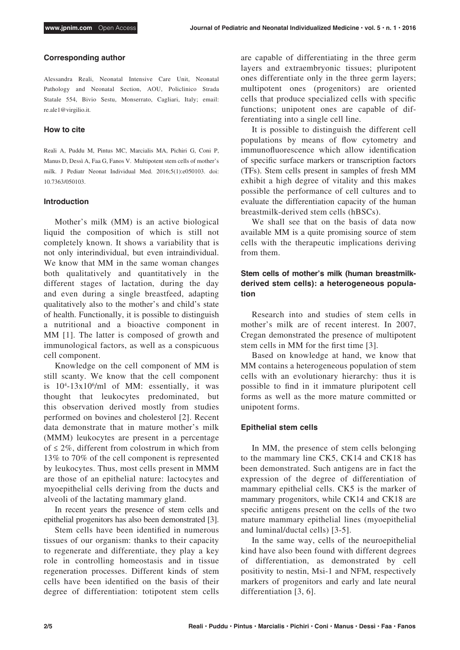#### **Corresponding author**

Alessandra Reali, Neonatal Intensive Care Unit, Neonatal Pathology and Neonatal Section, AOU, Policlinico Strada Statale 554, Bivio Sestu, Monserrato, Cagliari, Italy; email: re.ale1@virgilio.it.

#### **How to cite**

Reali A, Puddu M, Pintus MC, Marcialis MA, Pichiri G, Coni P, Manus D, Dessì A, Faa G, Fanos V. Multipotent stem cells of mother's milk. J Pediatr Neonat Individual Med. 2016;5(1):e050103. doi: 10.7363/050103.

#### **Introduction**

Mother's milk (MM) is an active biological liquid the composition of which is still not completely known. It shows a variability that is not only interindividual, but even intraindividual. We know that MM in the same woman changes both qualitatively and quantitatively in the different stages of lactation, during the day and even during a single breastfeed, adapting qualitatively also to the mother's and child's state of health. Functionally, it is possible to distinguish a nutritional and a bioactive component in MM [1]. The latter is composed of growth and immunological factors, as well as a conspicuous cell component.

Knowledge on the cell component of MM is still scanty. We know that the cell component is  $10^4$ -13x10<sup>6</sup>/ml of MM: essentially, it was thought that leukocytes predominated, but this observation derived mostly from studies performed on bovines and cholesterol [2]. Recent data demonstrate that in mature mother's milk (MMM) leukocytes are present in a percentage of ≤ 2%, different from colostrum in which from 13% to 70% of the cell component is represented by leukocytes. Thus, most cells present in MMM are those of an epithelial nature: lactocytes and myoepithelial cells deriving from the ducts and alveoli of the lactating mammary gland.

In recent years the presence of stem cells and epithelial progenitors has also been demonstrated [3].

Stem cells have been identified in numerous tissues of our organism: thanks to their capacity to regenerate and differentiate, they play a key role in controlling homeostasis and in tissue regeneration processes. Different kinds of stem cells have been identified on the basis of their degree of differentiation: totipotent stem cells

are capable of differentiating in the three germ layers and extraembryonic tissues; pluripotent ones differentiate only in the three germ layers; multipotent ones (progenitors) are oriented cells that produce specialized cells with specific functions; unipotent ones are capable of differentiating into a single cell line.

It is possible to distinguish the different cell populations by means of flow cytometry and immunofluorescence which allow identification of specific surface markers or transcription factors (TFs). Stem cells present in samples of fresh MM exhibit a high degree of vitality and this makes possible the performance of cell cultures and to evaluate the differentiation capacity of the human breastmilk-derived stem cells (hBSCs).

We shall see that on the basis of data now available MM is a quite promising source of stem cells with the therapeutic implications deriving from them.

## **Stem cells of mother's milk (human breastmilkderived stem cells): a heterogeneous population**

Research into and studies of stem cells in mother's milk are of recent interest. In 2007, Cregan demonstrated the presence of multipotent stem cells in MM for the first time [3].

Based on knowledge at hand, we know that MM contains a heterogeneous population of stem cells with an evolutionary hierarchy: thus it is possible to find in it immature pluripotent cell forms as well as the more mature committed or unipotent forms.

### **Epithelial stem cells**

In MM, the presence of stem cells belonging to the mammary line CK5, CK14 and CK18 has been demonstrated. Such antigens are in fact the expression of the degree of differentiation of mammary epithelial cells. CK5 is the marker of mammary progenitors, while CK14 and CK18 are specific antigens present on the cells of the two mature mammary epithelial lines (myoepithelial and luminal/ductal cells) [3-5].

In the same way, cells of the neuroepithelial kind have also been found with different degrees of differentiation, as demonstrated by cell positivity to nestin, Msi-1 and NFM, respectively markers of progenitors and early and late neural differentiation [3, 6].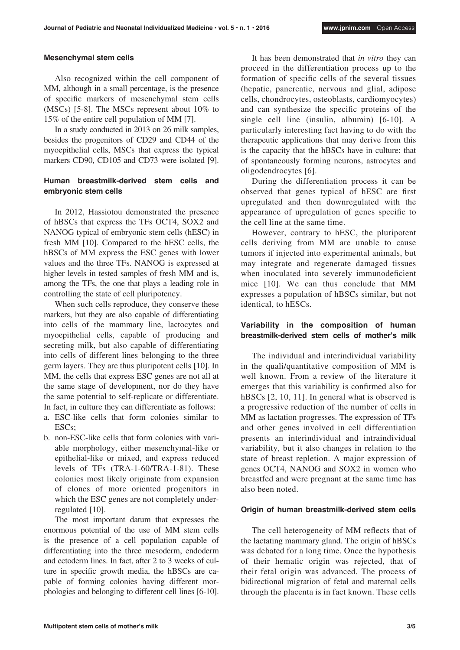#### **Mesenchymal stem cells**

Also recognized within the cell component of MM, although in a small percentage, is the presence of specific markers of mesenchymal stem cells (MSCs) [5-8]. The MSCs represent about 10% to 15% of the entire cell population of MM [7].

In a study conducted in 2013 on 26 milk samples, besides the progenitors of CD29 and CD44 of the myoepithelial cells, MSCs that express the typical markers CD90, CD105 and CD73 were isolated [9].

## **Human breastmilk-derived stem cells and embryonic stem cells**

In 2012, Hassiotou demonstrated the presence of hBSCs that express the TFs OCT4, SOX2 and NANOG typical of embryonic stem cells (hESC) in fresh MM [10]. Compared to the hESC cells, the hBSCs of MM express the ESC genes with lower values and the three TFs. NANOG is expressed at higher levels in tested samples of fresh MM and is, among the TFs, the one that plays a leading role in controlling the state of cell pluripotency.

When such cells reproduce, they conserve these markers, but they are also capable of differentiating into cells of the mammary line, lactocytes and myoepithelial cells, capable of producing and secreting milk, but also capable of differentiating into cells of different lines belonging to the three germ layers. They are thus pluripotent cells [10]. In MM, the cells that express ESC genes are not all at the same stage of development, nor do they have the same potential to self-replicate or differentiate. In fact, in culture they can differentiate as follows:

- a. ESC-like cells that form colonies similar to ESCs;
- b. non-ESC-like cells that form colonies with variable morphology, either mesenchymal-like or epithelial-like or mixed, and express reduced levels of TFs (TRA-1-60/TRA-1-81). These colonies most likely originate from expansion of clones of more oriented progenitors in which the ESC genes are not completely underregulated [10].

The most important datum that expresses the enormous potential of the use of MM stem cells is the presence of a cell population capable of differentiating into the three mesoderm, endoderm and ectoderm lines. In fact, after 2 to 3 weeks of culture in specific growth media, the hBSCs are capable of forming colonies having different morphologies and belonging to different cell lines [6-10].

It has been demonstrated that *in vitro* they can proceed in the differentiation process up to the formation of specific cells of the several tissues (hepatic, pancreatic, nervous and glial, adipose cells, chondrocytes, osteoblasts, cardiomyocytes) and can synthesize the specific proteins of the single cell line (insulin, albumin) [6-10]. A particularly interesting fact having to do with the therapeutic applications that may derive from this is the capacity that the hBSCs have in culture: that of spontaneously forming neurons, astrocytes and oligodendrocytes [6].

During the differentiation process it can be observed that genes typical of hESC are first upregulated and then downregulated with the appearance of upregulation of genes specific to the cell line at the same time.

However, contrary to hESC, the pluripotent cells deriving from MM are unable to cause tumors if injected into experimental animals, but may integrate and regenerate damaged tissues when inoculated into severely immunodeficient mice [10]. We can thus conclude that MM expresses a population of hBSCs similar, but not identical, to hESCs.

## **Variability in the composition of human breastmilk-derived stem cells of mother's milk**

The individual and interindividual variability in the quali/quantitative composition of MM is well known. From a review of the literature it emerges that this variability is confirmed also for hBSCs [2, 10, 11]. In general what is observed is a progressive reduction of the number of cells in MM as lactation progresses. The expression of TFs and other genes involved in cell differentiation presents an interindividual and intraindividual variability, but it also changes in relation to the state of breast repletion. A major expression of genes OCT4, NANOG and SOX2 in women who breastfed and were pregnant at the same time has also been noted.

### **Origin of human breastmilk-derived stem cells**

The cell heterogeneity of MM reflects that of the lactating mammary gland. The origin of hBSCs was debated for a long time. Once the hypothesis of their hematic origin was rejected, that of their fetal origin was advanced. The process of bidirectional migration of fetal and maternal cells through the placenta is in fact known. These cells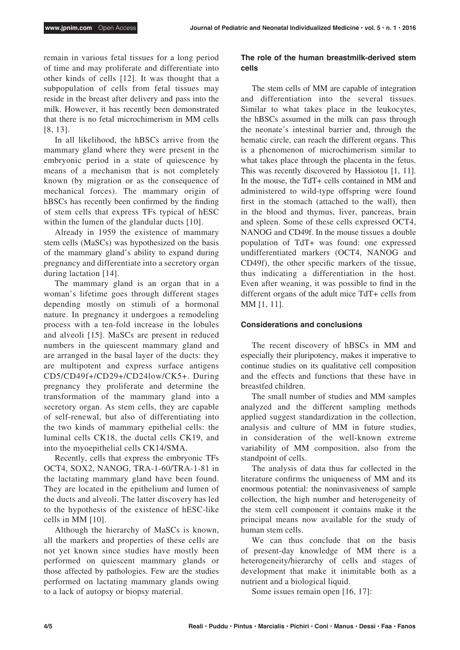remain in various fetal tissues for a long period of time and may proliferate and differentiate into other kinds of cells [12]. It was thought that a subpopulation of cells from fetal tissues may reside in the breast after delivery and pass into the milk. However, it has recently been demonstrated that there is no fetal microchimerism in MM cells [8, 13].

In all likelihood, the hBSCs arrive from the mammary gland where they were present in the embryonic period in a state of quiescence by means of a mechanism that is not completely known (by migration or as the consequence of mechanical forces). The mammary origin of hBSCs has recently been confirmed by the finding of stem cells that express TFs typical of hESC within the lumen of the glandular ducts [10].

Already in 1959 the existence of mammary stem cells (MaSCs) was hypothesized on the basis of the mammary gland's ability to expand during pregnancy and differentiate into a secretory organ during lactation [14].

The mammary gland is an organ that in a woman's lifetime goes through different stages depending mostly on stimuli of a hormonal nature. In pregnancy it undergoes a remodeling process with a ten-fold increase in the lobules and alveoli [15]. MaSCs are present in reduced numbers in the quiescent mammary gland and are arranged in the basal layer of the ducts: they are multipotent and express surface antigens CD5/CD49f+/CD29+/CD24low/CK5+. During pregnancy they proliferate and determine the transformation of the mammary gland into a secretory organ. As stem cells, they are capable of self-renewal, but also of differentiating into the two kinds of mammary epithelial cells: the luminal cells CK18, the ductal cells CK19, and into the myoepithelial cells CK14/SMA.

Recently, cells that express the embryonic TFs OCT4, SOX2, NANOG, TRA-1-60/TRA-1-81 in the lactating mammary gland have been found. They are located in the epithelium and lumen of the ducts and alveoli. The latter discovery has led to the hypothesis of the existence of hESC-like cells in MM [10].

Although the hierarchy of MaSCs is known, all the markers and properties of these cells are not yet known since studies have mostly been performed on quiescent mammary glands or those affected by pathologies. Few are the studies performed on lactating mammary glands owing to a lack of autopsy or biopsy material.

## **The role of the human breastmilk-derived stem cells**

The stem cells of MM are capable of integration and differentiation into the several tissues. Similar to what takes place in the leukocytes, the hBSCs assumed in the milk can pass through the neonate's intestinal barrier and, through the hematic circle, can reach the different organs. This is a phenomenon of microchimerism similar to what takes place through the placenta in the fetus. This was recently discovered by Hassiotou [1, 11]. In the mouse, the TdT+ cells contained in MM and administered to wild-type offspring were found first in the stomach (attached to the wall), then in the blood and thymus, liver, pancreas, brain and spleen. Some of these cells expressed OCT4, NANOG and CD49f. In the mouse tissues a double population of TdT+ was found: one expressed undifferentiated markers (OCT4, NANOG and CD49f), the other specific markers of the tissue, thus indicating a differentiation in the host. Even after weaning, it was possible to find in the different organs of the adult mice TdT+ cells from MM [1, 11].

## **Considerations and conclusions**

The recent discovery of hBSCs in MM and especially their pluripotency, makes it imperative to continue studies on its qualitative cell composition and the effects and functions that these have in breastfed children.

The small number of studies and MM samples analyzed and the different sampling methods applied suggest standardization in the collection, analysis and culture of MM in future studies, in consideration of the well-known extreme variability of MM composition, also from the standpoint of cells.

The analysis of data thus far collected in the literature confirms the uniqueness of MM and its enormous potential: the noninvasiveness of sample collection, the high number and heterogeneity of the stem cell component it contains make it the principal means now available for the study of human stem cells.

We can thus conclude that on the basis of present-day knowledge of MM there is a heterogeneity/hierarchy of cells and stages of development that make it inimitable both as a nutrient and a biological liquid.

Some issues remain open [16, 17]: